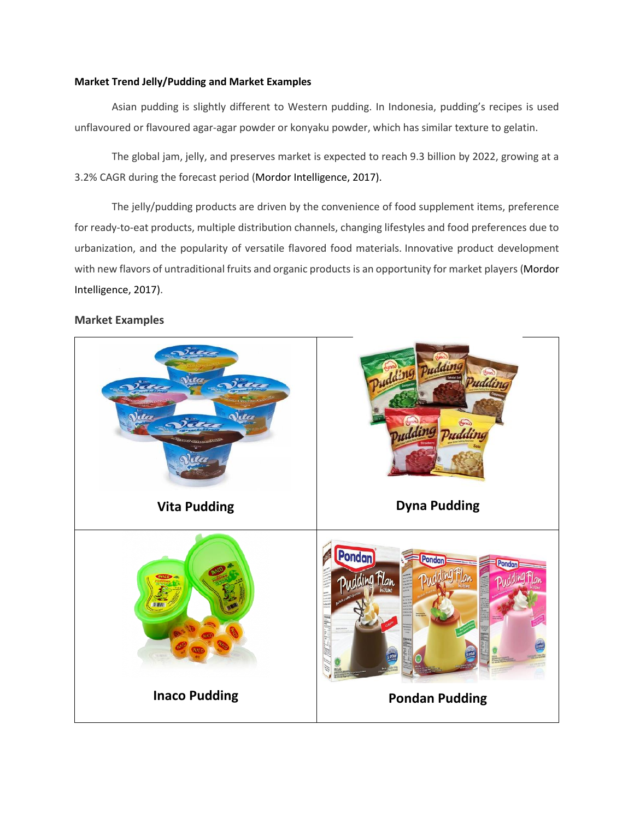#### **Market Trend Jelly/Pudding and Market Examples**

Asian pudding is slightly different to Western pudding. In Indonesia, pudding's recipes is used unflavoured or flavoured agar-agar powder or konyaku powder, which has similar texture to gelatin.

The global jam, jelly, and preserves market is expected to reach 9.3 billion by 2022, growing at a 3.2% CAGR during the forecast period (Mordor Intelligence, 2017).

The jelly/pudding products are driven by the convenience of food supplement items, preference for ready-to-eat products, multiple distribution channels, changing lifestyles and food preferences due to urbanization, and the popularity of versatile flavored food materials. Innovative product development with new flavors of untraditional fruits and organic products is an opportunity for market players (Mordor Intelligence, 2017).



### **Market Examples**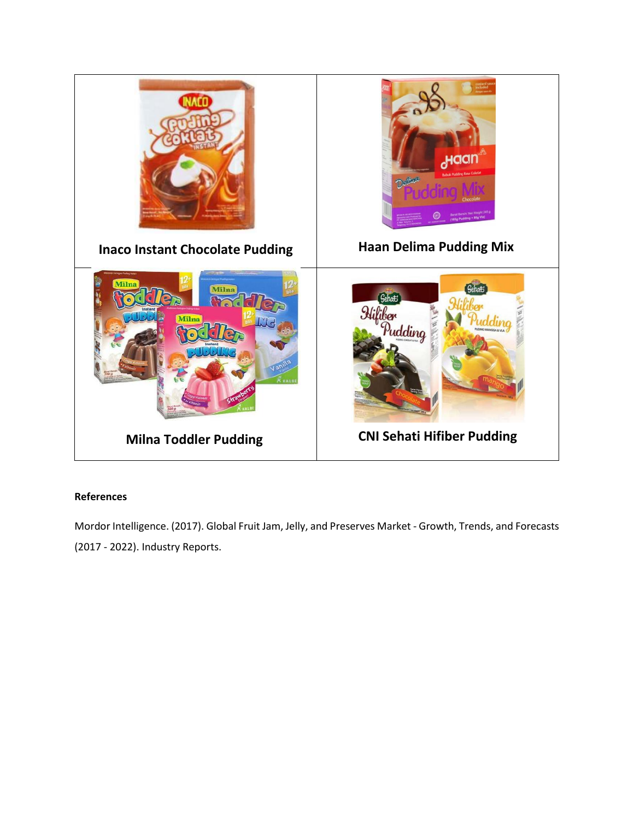

### **References**

Mordor Intelligence. (2017). Global Fruit Jam, Jelly, and Preserves Market - Growth, Trends, and Forecasts (2017 - 2022). Industry Reports.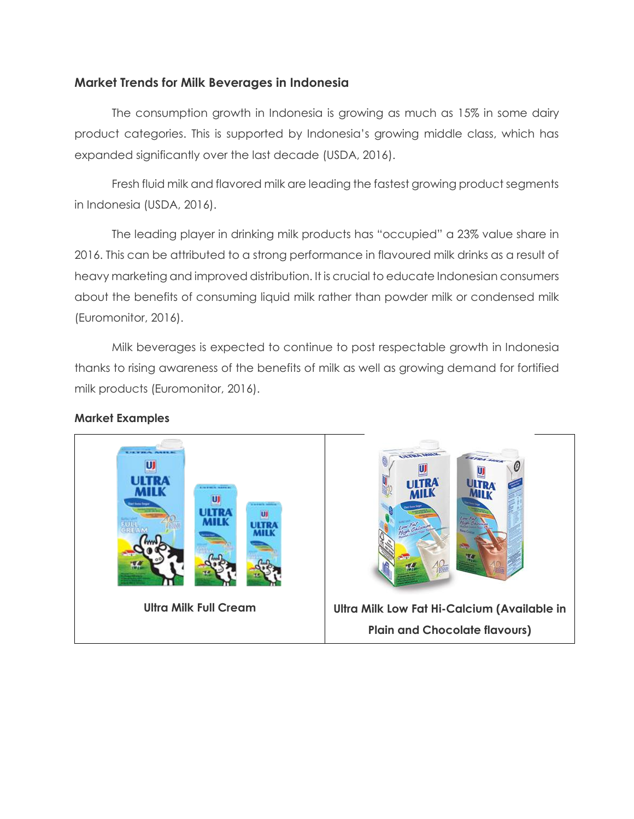# **Market Trends for Milk Beverages in Indonesia**

The consumption growth in Indonesia is growing as much as 15% in some dairy product categories. This is supported by Indonesia's growing middle class, which has expanded significantly over the last decade (USDA, 2016).

Fresh fluid milk and flavored milk are leading the fastest growing product segments in Indonesia (USDA, 2016).

The leading player in drinking milk products has "occupied" a 23% value share in 2016. This can be attributed to a strong performance in flavoured milk drinks as a result of heavy marketing and improved distribution. It is crucial to educate Indonesian consumers about the benefits of consuming liquid milk rather than powder milk or condensed milk (Euromonitor, 2016).

Milk beverages is expected to continue to post respectable growth in Indonesia thanks to rising awareness of the benefits of milk as well as growing demand for fortified milk products (Euromonitor, 2016).





## **Market Examples**